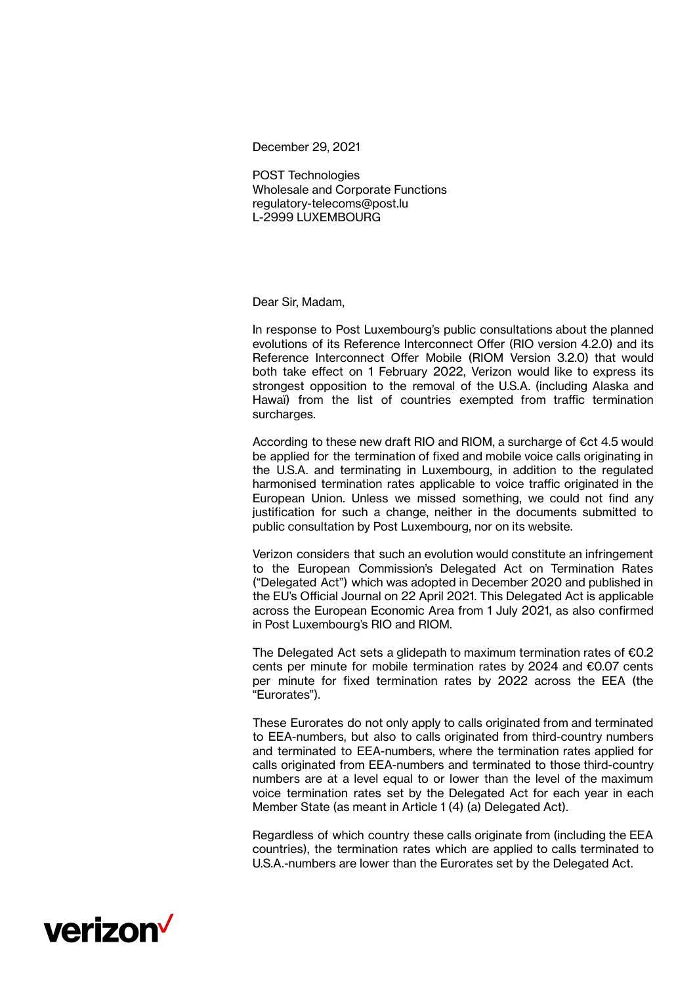December 29, 2021

POST Technologies Wholesale and Corporate Functions regulatory-telecoms@post.lu L-2999 LUXEMBOURG

Dear Sir, Madam,

In response to Post Luxembourg's public consultations about the planned evolutions of its Reference Interconnect Offer (RIO version 4.2.0) and its Reference Interconnect Offer Mobile (RIOM Version 3.2.0) that would both take effect on 1 February 2022, Verizon would like to express its strongest opposition to the removal of the U.S.A. (including Alaska and Hawaï) from the list of countries exempted from traffic termination surcharges.

According to these new draft RIO and RIOM, a surcharge of €ct 4.5 would be applied for the termination of fixed and mobile voice calls originating in the U.S.A. and terminating in Luxembourg, in addition to the regulated harmonised termination rates applicable to voice traffic originated in the European Union. Unless we missed something, we could not find any justification for such a change, neither in the documents submitted to public consultation by Post Luxembourg, nor on its website.

Verizon considers that such an evolution would constitute an infringement to the European Commission's Delegated Act on Termination Rates ("Delegated Act") which was adopted in December 2020 and [published](https://eur-lex.europa.eu/eli/reg_del/2021/654/oj) in the EU's Official Journal on 22 April 2021. This Delegated Act is applicable across the European Economic Area from 1 July 2021, as also confirmed in Post Luxembourg's RIO and RIOM.

The Delegated Act sets a glidepath to maximum termination rates of  $\epsilon$ 0.2 cents per minute for mobile termination rates by 2024 and €0.07 cents per minute for fixed termination rates by 2022 across the EEA (the "Eurorates").

These Eurorates do not only apply to calls originated from and terminated to EEA-numbers, but also to calls originated from third-country numbers and terminated to EEA-numbers, where the termination rates applied for calls originated from EEA-numbers and terminated to those third-country numbers are at a level equal to or lower than the level of the maximum voice termination rates set by the Delegated Act for each year in each Member State (as meant in Article 1 (4) (a) Delegated Act).

Regardless of which country these calls originate from (including the EEA countries), the termination rates which are applied to calls terminated to U.S.A.-numbers are lower than the Eurorates set by the Delegated Act.

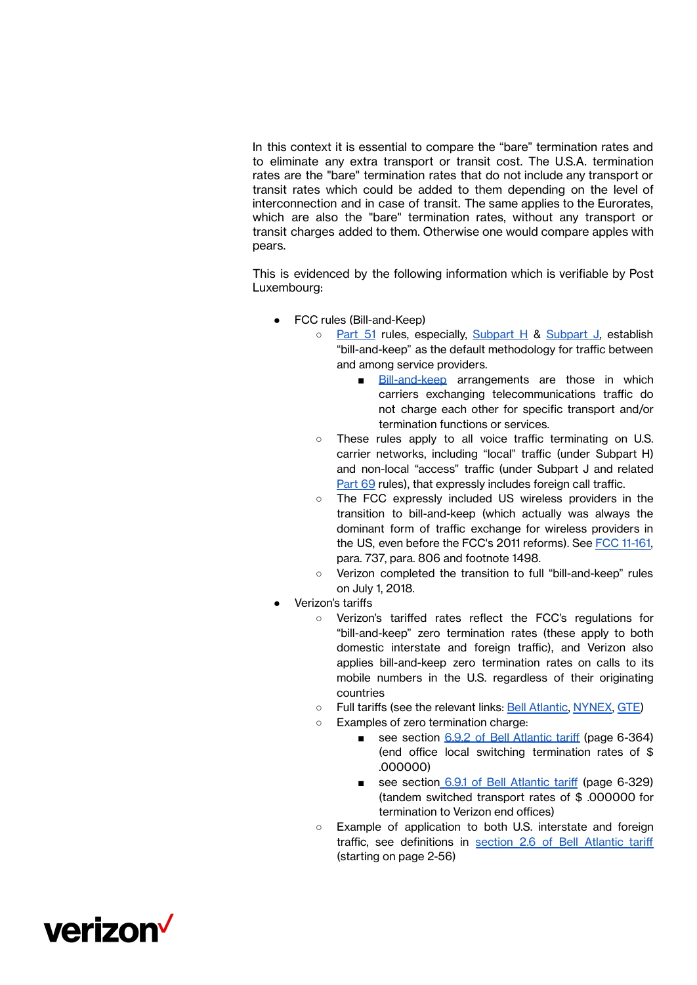In this context it is essential to compare the "bare" termination rates and to eliminate any extra transport or transit cost. The U.S.A. termination rates are the "bare" termination rates that do not include any transport or transit rates which could be added to them depending on the level of interconnection and in case of transit. The same applies to the Eurorates, which are also the "bare" termination rates, without any transport or transit charges added to them. Otherwise one would compare apples with pears.

This is evidenced by the following information which is verifiable by Post Luxembourg:

- FCC rules (Bill-and-Keep)
	- [Part](https://www.ecfr.gov/cgi-bin/text-idx?SID=29584025f9de124fe510d313ea4dd265&mc=true&tpl=/ecfrbrowse/Title47/47cfr51_main_02.tpl) 51 rules, especially, [Subpart](https://www.ecfr.gov/cgi-bin/text-idx?SID=29584025f9de124fe510d313ea4dd265&mc=true&node=sp47.3.51.j&rgn=div6) H & Subpart J, establish "bill-and-keep" as the default methodology for traffic between and among service providers.
		- [Bill-and-keep](https://www.ecfr.gov/cgi-bin/text-idx?SID=29584025f9de124fe510d313ea4dd265&mc=true&node=se47.3.51_1713&rgn=div8) arrangements are those in which carriers exchanging telecommunications traffic do not charge each other for specific transport and/or termination functions or services.
	- These rules apply to all voice traffic terminating on U.S. carrier networks, including "local" traffic (under Subpart H) and non-local "access" traffic (under Subpart J and relate[d](https://www.ecfr.gov/cgi-bin/text-idx?SID=29584025f9de124fe510d313ea4dd265&mc=true&tpl=/ecfrbrowse/Title47/47cfr69_main_02.tpl) [Part](https://www.ecfr.gov/cgi-bin/text-idx?SID=29584025f9de124fe510d313ea4dd265&mc=true&tpl=/ecfrbrowse/Title47/47cfr69_main_02.tpl) 69 rules), that expressly includes foreign call traffic.
	- The FCC expressly included US wireless providers in the transition to bill-and-keep (which actually was always the dominant form of traffic exchange for wireless providers in the US, even before the FCC's 2011 reforms). See FCC [11-161,](https://docs.fcc.gov/public/attachments/FCC-11-161A1.pdf) para. 737, para. 806 and footnote 1498.
	- Verizon completed the transition to full "bill-and-keep" rules on July 1, 2018.
- Verizon's tariffs
	- Verizon's tariffed rates reflect the FCC's regulations for "bill-and-keep" zero termination rates (these apply to both domestic interstate and foreign traffic), and Verizon also applies bill-and-keep zero termination rates on calls to its mobile numbers in the U.S. regardless of their originating countries
	- Full tariffs (see the relevant links: Bell [Atlantic,](http://tariffs.verizon.com/Sections.aspx?docnum=FCCIEA1&type=T&sch=N&se=Y&att=N&typename=IT&tims_Status=E&entity=I*) [NYNEX,](http://tariffs.verizon.com/Sections.aspx?docnum=FCCIEA11&type=T&sch=N&se=Y&att=N&typename=IT&tims_Status=E&entity=I*) [GTE\)](http://tariffs.verizon.com/Sections.aspx?docnum=FCCICA16&type=T&sch=N&se=Y&att=N&typename=IT&tims_Status=E&entity=I*)
	- Examples of zero termination charge:
		- see section 6.9.2 of Bell [Atlantic](http://tariffs.verizon.com/PDFViewer.aspx?doc=283709) tariff (page 6-364) (end office local switching termination rates of \$ .000000)
		- see section 6.9.1 of Bell [Atlantic](http://tariffs.verizon.com/PDFViewer.aspx?doc=283709) tariff (page 6-329) (tandem switched transport rates of \$ .000000 for termination to Verizon end offices)
	- Example of application to both U.S. interstate and foreign traffic, see definitions in section 2.6 of Bell [Atlantic](http://tariffs.verizon.com/PDFViewer.aspx?doc=281238) tariff (starting on page 2-56)